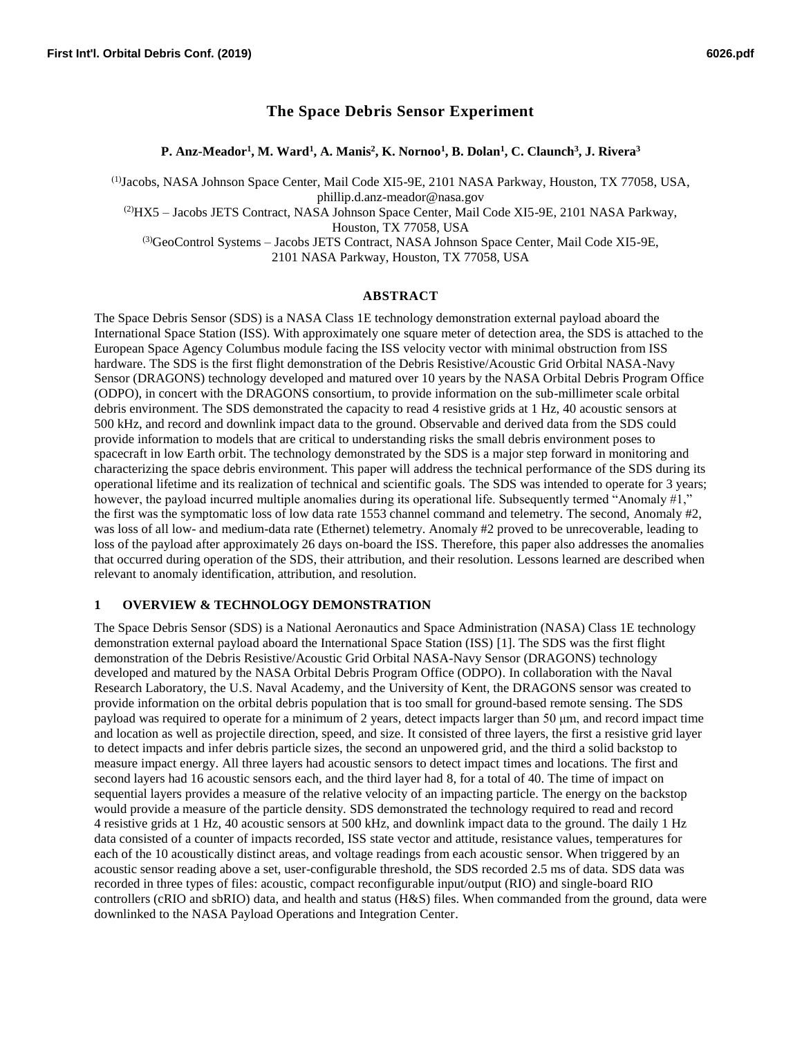# **The Space Debris Sensor Experiment**

**P. Anz-Meador<sup>1</sup> , M. Ward<sup>1</sup> , A. Manis<sup>2</sup> , K. Nornoo<sup>1</sup> , B. Dolan<sup>1</sup> , C. Claunch<sup>3</sup> , J. Rivera<sup>3</sup>**

(1) Jacobs, NASA Johnson Space Center, Mail Code XI5-9E, 2101 NASA Parkway, Houston, TX 77058, USA, phillip.d.anz-meador@nasa.gov

(2)HX5 – Jacobs JETS Contract, NASA Johnson Space Center, Mail Code XI5-9E, 2101 NASA Parkway, Houston, TX 77058, USA

(3)GeoControl Systems – Jacobs JETS Contract, NASA Johnson Space Center, Mail Code XI5-9E, 2101 NASA Parkway, Houston, TX 77058, USA

#### **ABSTRACT**

The Space Debris Sensor (SDS) is a NASA Class 1E technology demonstration external payload aboard the International Space Station (ISS). With approximately one square meter of detection area, the SDS is attached to the European Space Agency Columbus module facing the ISS velocity vector with minimal obstruction from ISS hardware. The SDS is the first flight demonstration of the Debris Resistive/Acoustic Grid Orbital NASA-Navy Sensor (DRAGONS) technology developed and matured over 10 years by the NASA Orbital Debris Program Office (ODPO), in concert with the DRAGONS consortium, to provide information on the sub-millimeter scale orbital debris environment. The SDS demonstrated the capacity to read 4 resistive grids at 1 Hz, 40 acoustic sensors at 500 kHz, and record and downlink impact data to the ground. Observable and derived data from the SDS could provide information to models that are critical to understanding risks the small debris environment poses to spacecraft in low Earth orbit. The technology demonstrated by the SDS is a major step forward in monitoring and characterizing the space debris environment. This paper will address the technical performance of the SDS during its operational lifetime and its realization of technical and scientific goals. The SDS was intended to operate for 3 years; however, the payload incurred multiple anomalies during its operational life. Subsequently termed "Anomaly #1," the first was the symptomatic loss of low data rate 1553 channel command and telemetry. The second, Anomaly #2, was loss of all low- and medium-data rate (Ethernet) telemetry. Anomaly #2 proved to be unrecoverable, leading to loss of the payload after approximately 26 days on-board the ISS. Therefore, this paper also addresses the anomalies that occurred during operation of the SDS, their attribution, and their resolution. Lessons learned are described when relevant to anomaly identification, attribution, and resolution.

#### **1 OVERVIEW & TECHNOLOGY DEMONSTRATION**

The Space Debris Sensor (SDS) is a National Aeronautics and Space Administration (NASA) Class 1E technology demonstration external payload aboard the International Space Station (ISS) [1]. The SDS was the first flight demonstration of the Debris Resistive/Acoustic Grid Orbital NASA-Navy Sensor (DRAGONS) technology developed and matured by the NASA Orbital Debris Program Office (ODPO). In collaboration with the Naval Research Laboratory, the U.S. Naval Academy, and the University of Kent, the DRAGONS sensor was created to provide information on the orbital debris population that is too small for ground-based remote sensing. The SDS payload was required to operate for a minimum of 2 years, detect impacts larger than 50 μm, and record impact time and location as well as projectile direction, speed, and size. It consisted of three layers, the first a resistive grid layer to detect impacts and infer debris particle sizes, the second an unpowered grid, and the third a solid backstop to measure impact energy. All three layers had acoustic sensors to detect impact times and locations. The first and second layers had 16 acoustic sensors each, and the third layer had 8, for a total of 40. The time of impact on sequential layers provides a measure of the relative velocity of an impacting particle. The energy on the backstop would provide a measure of the particle density. SDS demonstrated the technology required to read and record 4 resistive grids at 1 Hz, 40 acoustic sensors at 500 kHz, and downlink impact data to the ground. The daily 1 Hz data consisted of a counter of impacts recorded, ISS state vector and attitude, resistance values, temperatures for each of the 10 acoustically distinct areas, and voltage readings from each acoustic sensor. When triggered by an acoustic sensor reading above a set, user-configurable threshold, the SDS recorded 2.5 ms of data. SDS data was recorded in three types of files: acoustic, compact reconfigurable input/output (RIO) and single-board RIO controllers (cRIO and sbRIO) data, and health and status (H&S) files. When commanded from the ground, data were downlinked to the NASA Payload Operations and Integration Center.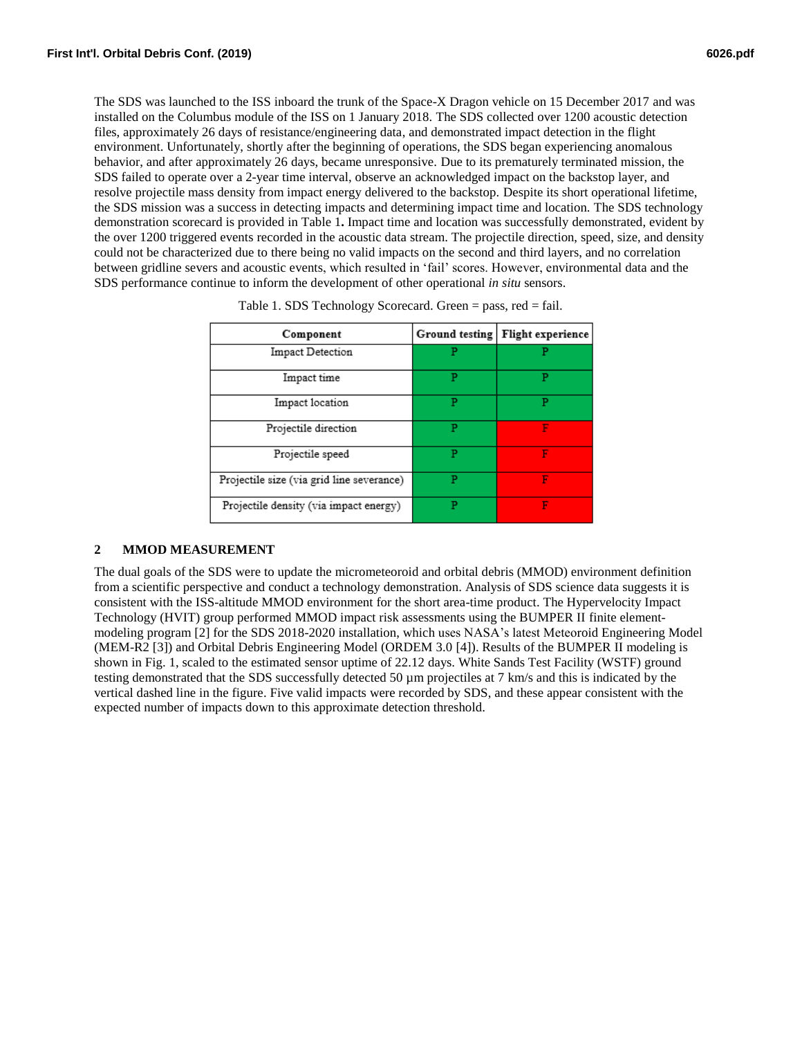The SDS was launched to the ISS inboard the trunk of the Space-X Dragon vehicle on 15 December 2017 and was installed on the Columbus module of the ISS on 1 January 2018. The SDS collected over 1200 acoustic detection files, approximately 26 days of resistance/engineering data, and demonstrated impact detection in the flight environment. Unfortunately, shortly after the beginning of operations, the SDS began experiencing anomalous behavior, and after approximately 26 days, became unresponsive. Due to its prematurely terminated mission, the SDS failed to operate over a 2-year time interval, observe an acknowledged impact on the backstop layer, and resolve projectile mass density from impact energy delivered to the backstop. Despite its short operational lifetime, the SDS mission was a success in detecting impacts and determining impact time and location. The SDS technology demonstration scorecard is provided in [Table 1](#page-5-0)**.** Impact time and location was successfully demonstrated, evident by the over 1200 triggered events recorded in the acoustic data stream. The projectile direction, speed, size, and density could not be characterized due to there being no valid impacts on the second and third layers, and no correlation between gridline severs and acoustic events, which resulted in 'fail' scores. However, environmental data and the SDS performance continue to inform the development of other operational *in situ* sensors.

| Component                                 | Ground testing | Flight experience |
|-------------------------------------------|----------------|-------------------|
| Impact Detection                          |                |                   |
| Impact time                               | P              | P                 |
| Impact location                           | Р              | P                 |
| Projectile direction                      | Р              |                   |
| Projectile speed                          |                | F                 |
| Projectile size (via grid line severance) | P              | F                 |
| Projectile density (via impact energy)    | P              | F                 |

Table 1. SDS Technology Scorecard. Green = pass, red = fail.

# **2 MMOD MEASUREMENT**

The dual goals of the SDS were to update the micrometeoroid and orbital debris (MMOD) environment definition from a scientific perspective and conduct a technology demonstration. Analysis of SDS science data suggests it is consistent with the ISS-altitude MMOD environment for the short area-time product. The Hypervelocity Impact Technology (HVIT) group performed MMOD impact risk assessments using the BUMPER II finite elementmodeling program [2] for the SDS 2018-2020 installation, which uses NASA's latest Meteoroid Engineering Model (MEM-R2 [3]) and Orbital Debris Engineering Model (ORDEM 3.0 [4]). Results of the BUMPER II modeling is shown in Fig. 1, scaled to the estimated sensor uptime of 22.12 days. White Sands Test Facility (WSTF) ground testing demonstrated that the SDS successfully detected 50 µm projectiles at 7 km/s and this is indicated by the vertical dashed line in the figure. Five valid impacts were recorded by SDS, and these appear consistent with the expected number of impacts down to this approximate detection threshold.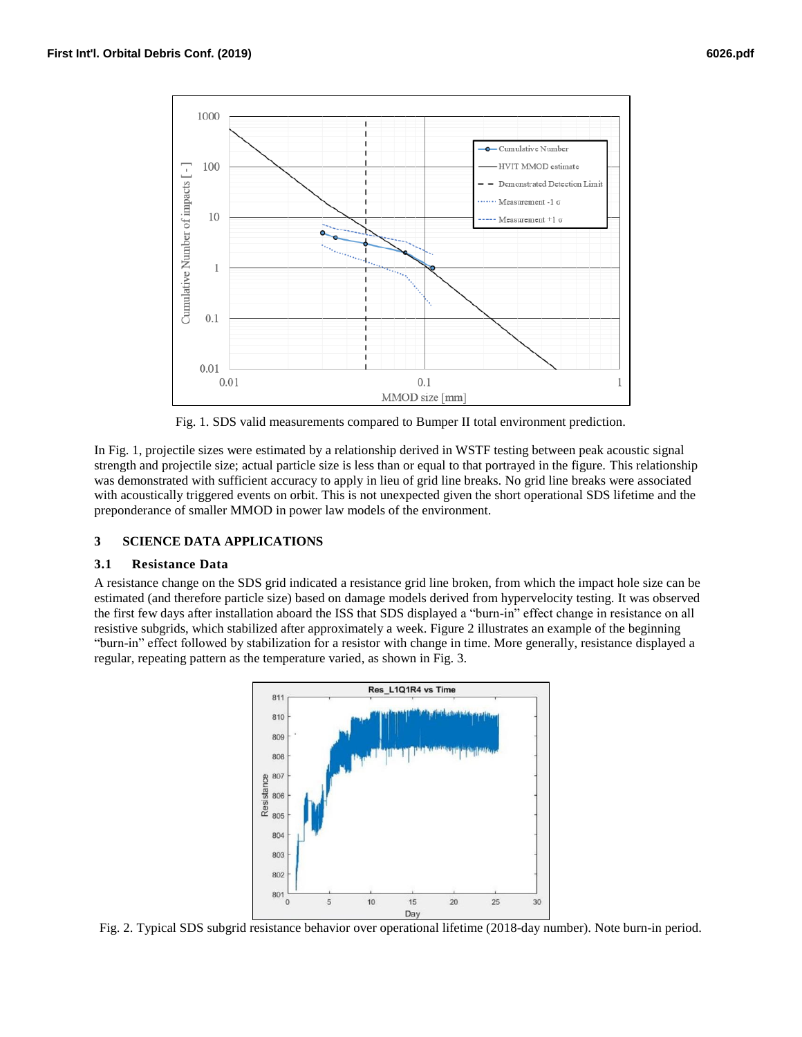

Fig. 1. SDS valid measurements compared to Bumper II total environment prediction.

In Fig. 1, projectile sizes were estimated by a relationship derived in WSTF testing between peak acoustic signal strength and projectile size; actual particle size is less than or equal to that portrayed in the figure. This relationship was demonstrated with sufficient accuracy to apply in lieu of grid line breaks. No grid line breaks were associated with acoustically triggered events on orbit. This is not unexpected given the short operational SDS lifetime and the preponderance of smaller MMOD in power law models of the environment.

# **3 SCIENCE DATA APPLICATIONS**

# **3.1 Resistance Data**

A resistance change on the SDS grid indicated a resistance grid line broken, from which the impact hole size can be estimated (and therefore particle size) based on damage models derived from hypervelocity testing. It was observed the first few days after installation aboard the ISS that SDS displayed a "burn-in" effect change in resistance on all resistive subgrids, which stabilized after approximately a week. Figure 2 illustrates an example of the beginning "burn-in" effect followed by stabilization for a resistor with change in time. More generally, resistance displayed a regular, repeating pattern as the temperature varied, as shown in Fig. 3.



Fig. 2. Typical SDS subgrid resistance behavior over operational lifetime (2018-day number). Note burn-in period.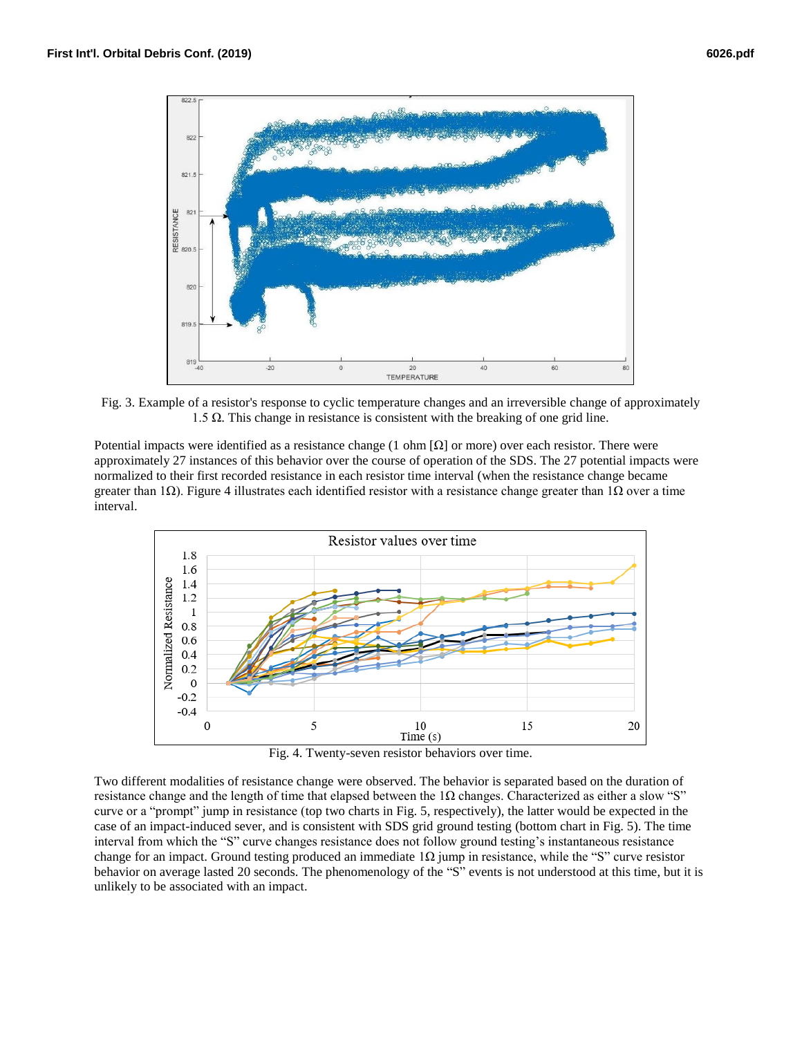

Fig. 3. Example of a resistor's response to cyclic temperature changes and an irreversible change of approximately 1.5 Ω. This change in resistance is consistent with the breaking of one grid line.

Potential impacts were identified as a resistance change (1 ohm  $[\Omega]$  or more) over each resistor. There were approximately 27 instances of this behavior over the course of operation of the SDS. The 27 potential impacts were normalized to their first recorded resistance in each resistor time interval (when the resistance change became greater than 1 $\Omega$ ). Figure 4 illustrates each identified resistor with a resistance change greater than 1 $\Omega$  over a time interval.



Fig. 4. Twenty-seven resistor behaviors over time.

Two different modalities of resistance change were observed. The behavior is separated based on the duration of resistance change and the length of time that elapsed between the  $1\Omega$  changes. Characterized as either a slow "S" curve or a "prompt" jump in resistance (top two charts in Fig. 5, respectively), the latter would be expected in the case of an impact-induced sever, and is consistent with SDS grid ground testing (bottom chart in Fig. 5). The time interval from which the "S" curve changes resistance does not follow ground testing's instantaneous resistance change for an impact. Ground testing produced an immediate  $1\Omega$  jump in resistance, while the "S" curve resistor behavior on average lasted 20 seconds. The phenomenology of the "S" events is not understood at this time, but it is unlikely to be associated with an impact.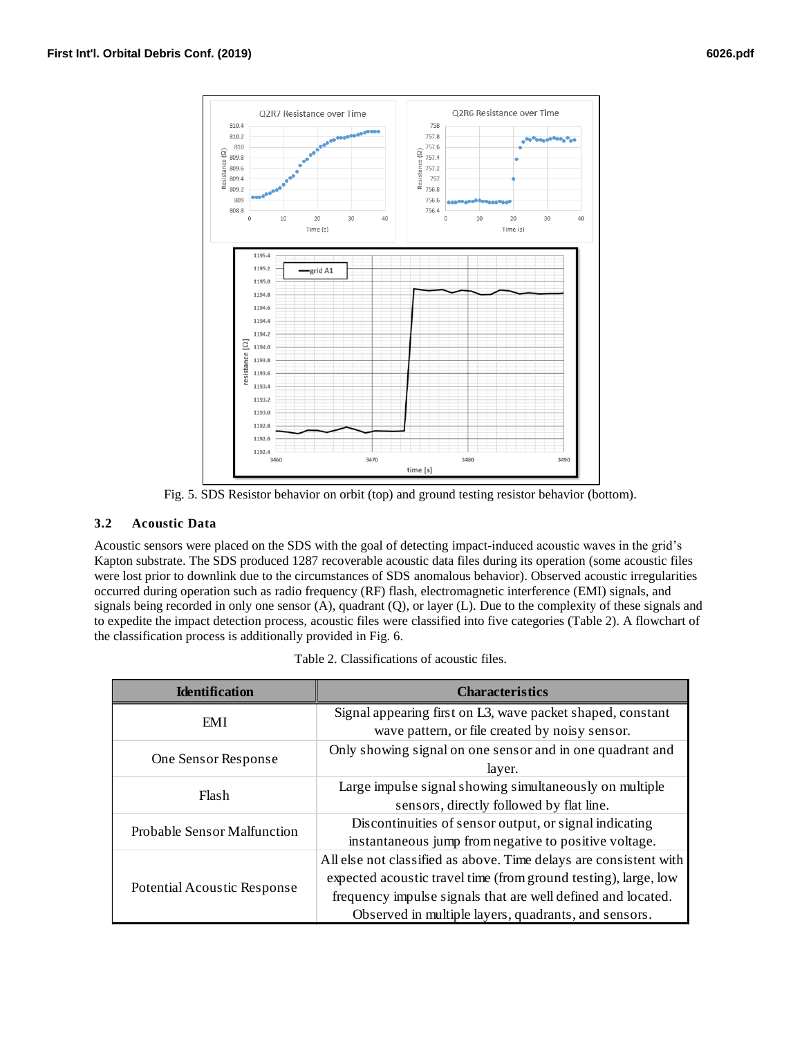

Fig. 5. SDS Resistor behavior on orbit (top) and ground testing resistor behavior (bottom).

# **3.2 Acoustic Data**

Acoustic sensors were placed on the SDS with the goal of detecting impact-induced acoustic waves in the grid's Kapton substrate. The SDS produced 1287 recoverable acoustic data files during its operation (some acoustic files were lost prior to downlink due to the circumstances of SDS anomalous behavior). Observed acoustic irregularities occurred during operation such as radio frequency (RF) flash, electromagnetic interference (EMI) signals, and signals being recorded in only one sensor (A), quadrant (Q), or layer (L). Due to the complexity of these signals and to expedite the impact detection process, acoustic files were classified into five categories (Table 2). A flowchart of the classification process is additionally provided in Fig. 6.

| <b>Identification</b>              | <b>Characteristics</b>                                            |  |
|------------------------------------|-------------------------------------------------------------------|--|
| EMI                                | Signal appearing first on L3, wave packet shaped, constant        |  |
|                                    | wave pattern, or file created by noisy sensor.                    |  |
| One Sensor Response                | Only showing signal on one sensor and in one quadrant and         |  |
|                                    | layer.                                                            |  |
| Flash                              | Large impulse signal showing simultaneously on multiple           |  |
|                                    | sensors, directly followed by flat line.                          |  |
| <b>Probable Sensor Malfunction</b> | Discontinuities of sensor output, or signal indicating            |  |
|                                    | instantaneous jump from negative to positive voltage.             |  |
| Potential Acoustic Response        | All else not classified as above. Time delays are consistent with |  |
|                                    | expected acoustic travel time (from ground testing), large, low   |  |
|                                    | frequency impulse signals that are well defined and located.      |  |
|                                    | Observed in multiple layers, quadrants, and sensors.              |  |

|  |  | Table 2. Classifications of acoustic files. |  |
|--|--|---------------------------------------------|--|
|--|--|---------------------------------------------|--|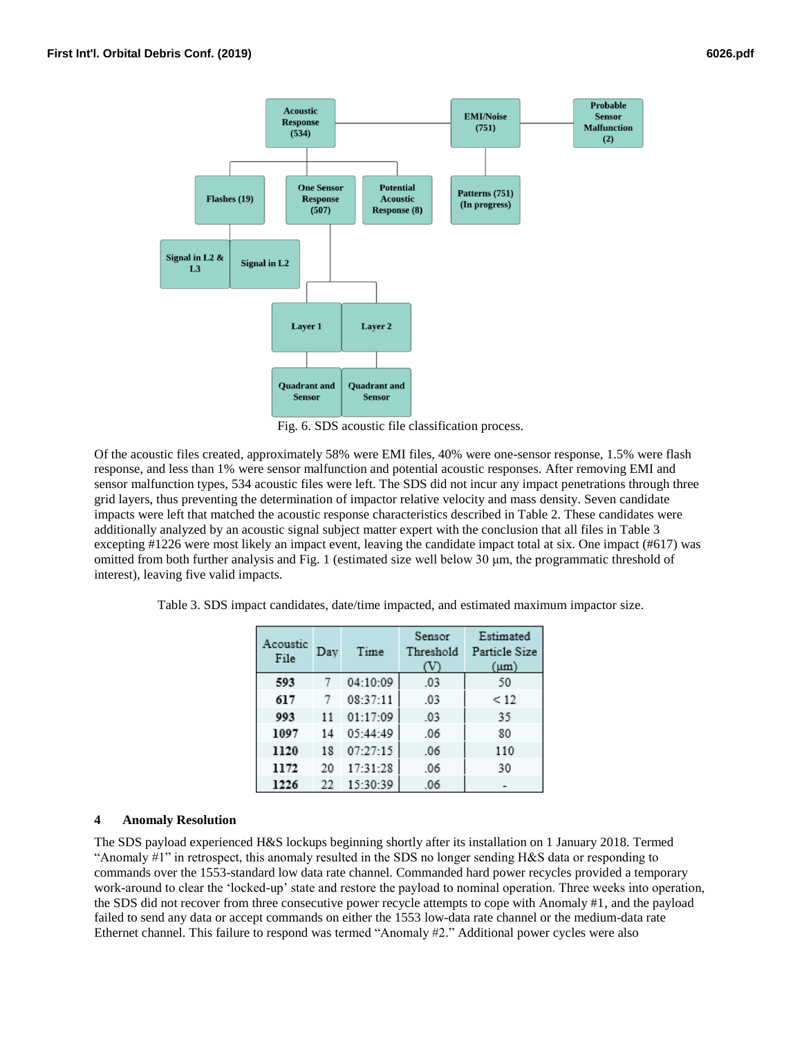

Fig. 6. SDS acoustic file classification process.

Of the acoustic files created, approximately 58% were EMI files, 40% were one-sensor response, 1.5% were flash response, and less than 1% were sensor malfunction and potential acoustic responses. After removing EMI and sensor malfunction types, 534 acoustic files were left. The SDS did not incur any impact penetrations through three grid layers, thus preventing the determination of impactor relative velocity and mass density. Seven candidate impacts were left that matched the acoustic response characteristics described in Table 2. These candidates were additionally analyzed by an acoustic signal subject matter expert with the conclusion that all files in Table 3 excepting #1226 were most likely an impact event, leaving the candidate impact total at six. One impact (#617) was omitted from both further analysis and Fig. 1 (estimated size well below 30 μm, the programmatic threshold of interest), leaving five valid impacts.

<span id="page-5-0"></span>

|  | Table 3. SDS impact candidates, date/time impacted, and estimated maximum impactor size. |  |  |
|--|------------------------------------------------------------------------------------------|--|--|

| Acoustic<br>File | Dav | Time     | Sensor<br>Threshold | Estimated<br>Particle Size<br>$(\mu m)$ |
|------------------|-----|----------|---------------------|-----------------------------------------|
| 593              | 7   | 04:10:09 | .03                 | 50                                      |
| 617              | 7   | 08:37:11 | .03                 | < 12                                    |
| 993              | 11  | 01:17:09 | .03                 | 35                                      |
| 1097             | 14  | 05:44:49 | .06                 | 80                                      |
| 1120             | 18  | 07:27:15 | .06                 | 110                                     |
| 1172             | 20  | 17:31:28 | .06                 | 30                                      |
| 1226             | 22  | 15:30:39 | .06                 |                                         |

# **4 Anomaly Resolution**

The SDS payload experienced H&S lockups beginning shortly after its installation on 1 January 2018. Termed "Anomaly #1" in retrospect, this anomaly resulted in the SDS no longer sending H&S data or responding to commands over the 1553-standard low data rate channel. Commanded hard power recycles provided a temporary work-around to clear the 'locked-up' state and restore the payload to nominal operation. Three weeks into operation, the SDS did not recover from three consecutive power recycle attempts to cope with Anomaly #1, and the payload failed to send any data or accept commands on either the 1553 low-data rate channel or the medium-data rate Ethernet channel. This failure to respond was termed "Anomaly #2." Additional power cycles were also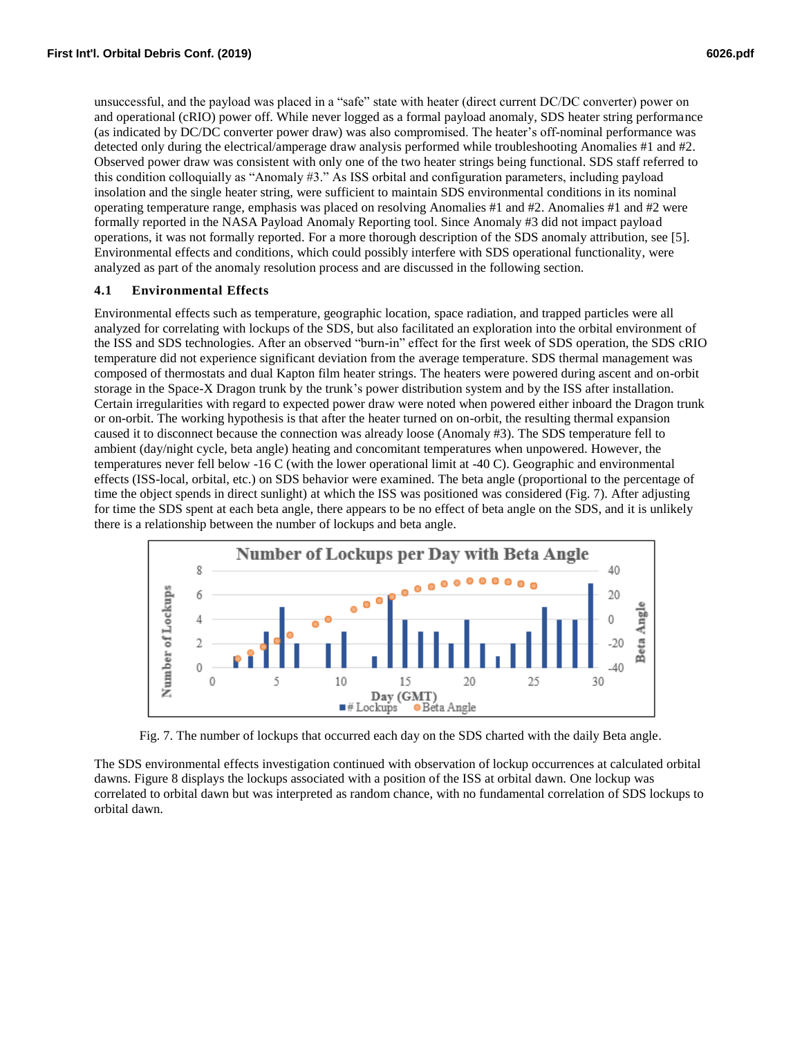unsuccessful, and the payload was placed in a "safe" state with heater (direct current DC/DC converter) power on and operational (cRIO) power off. While never logged as a formal payload anomaly, SDS heater string performance (as indicated by DC/DC converter power draw) was also compromised. The heater's off-nominal performance was detected only during the electrical/amperage draw analysis performed while troubleshooting Anomalies #1 and #2. Observed power draw was consistent with only one of the two heater strings being functional. SDS staff referred to this condition colloquially as "Anomaly #3." As ISS orbital and configuration parameters, including payload insolation and the single heater string, were sufficient to maintain SDS environmental conditions in its nominal operating temperature range, emphasis was placed on resolving Anomalies #1 and #2. Anomalies #1 and #2 were formally reported in the NASA Payload Anomaly Reporting tool. Since Anomaly #3 did not impact payload operations, it was not formally reported. For a more thorough description of the SDS anomaly attribution, see [5]. Environmental effects and conditions, which could possibly interfere with SDS operational functionality, were analyzed as part of the anomaly resolution process and are discussed in the following section.

#### **4.1 Environmental Effects**

Environmental effects such as temperature, geographic location, space radiation, and trapped particles were all analyzed for correlating with lockups of the SDS, but also facilitated an exploration into the orbital environment of the ISS and SDS technologies. After an observed "burn-in" effect for the first week of SDS operation, the SDS cRIO temperature did not experience significant deviation from the average temperature. SDS thermal management was composed of thermostats and dual Kapton film heater strings. The heaters were powered during ascent and on-orbit storage in the Space-X Dragon trunk by the trunk's power distribution system and by the ISS after installation. Certain irregularities with regard to expected power draw were noted when powered either inboard the Dragon trunk or on-orbit. The working hypothesis is that after the heater turned on on-orbit, the resulting thermal expansion caused it to disconnect because the connection was already loose (Anomaly #3). The SDS temperature fell to ambient (day/night cycle, beta angle) heating and concomitant temperatures when unpowered. However, the temperatures never fell below -16 C (with the lower operational limit at -40 C). Geographic and environmental effects (ISS-local, orbital, etc.) on SDS behavior were examined. The beta angle (proportional to the percentage of time the object spends in direct sunlight) at which the ISS was positioned was considered (Fig. 7). After adjusting for time the SDS spent at each beta angle, there appears to be no effect of beta angle on the SDS, and it is unlikely there is a relationship between the number of lockups and beta angle.



Fig. 7. The number of lockups that occurred each day on the SDS charted with the daily Beta angle.

The SDS environmental effects investigation continued with observation of lockup occurrences at calculated orbital dawns. Figure 8 displays the lockups associated with a position of the ISS at orbital dawn. One lockup was correlated to orbital dawn but was interpreted as random chance, with no fundamental correlation of SDS lockups to orbital dawn.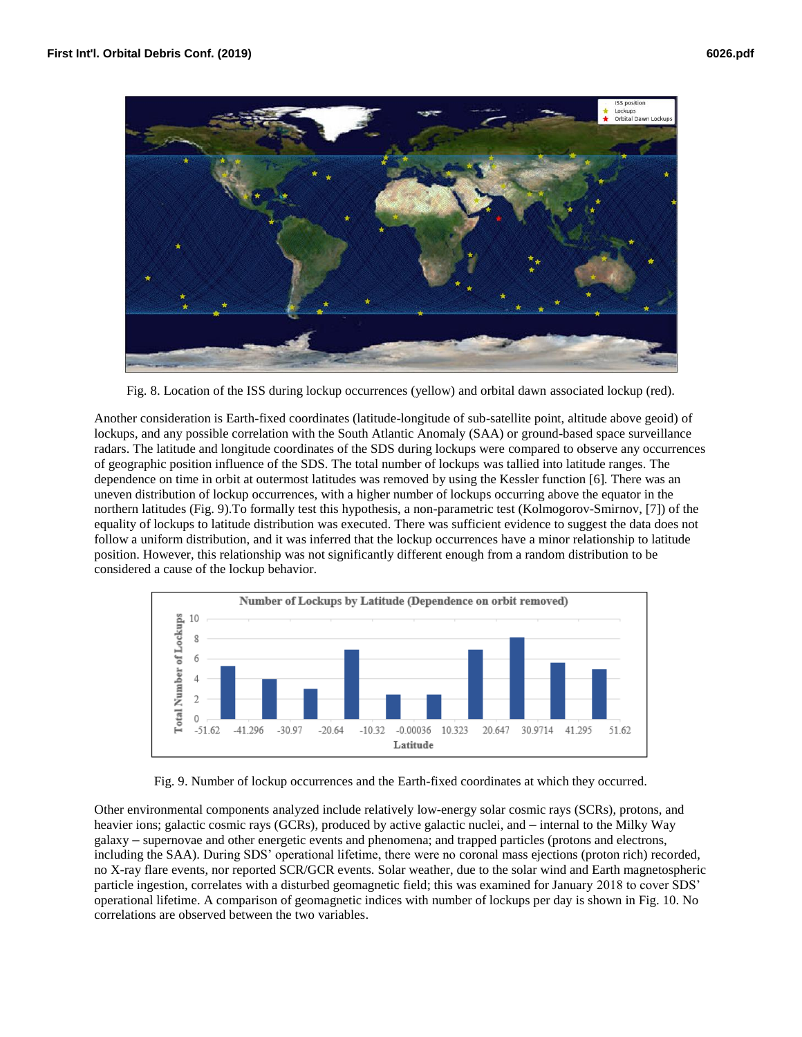

Fig. 8. Location of the ISS during lockup occurrences (yellow) and orbital dawn associated lockup (red).

Another consideration is Earth-fixed coordinates (latitude-longitude of sub-satellite point, altitude above geoid) of lockups, and any possible correlation with the South Atlantic Anomaly (SAA) or ground-based space surveillance radars. The latitude and longitude coordinates of the SDS during lockups were compared to observe any occurrences of geographic position influence of the SDS. The total number of lockups was tallied into latitude ranges. The dependence on time in orbit at outermost latitudes was removed by using the Kessler function [6]*.* There was an uneven distribution of lockup occurrences, with a higher number of lockups occurring above the equator in the northern latitudes (Fig. 9).To formally test this hypothesis, a non-parametric test (Kolmogorov-Smirnov, [7]) of the equality of lockups to latitude distribution was executed. There was sufficient evidence to suggest the data does not follow a uniform distribution, and it was inferred that the lockup occurrences have a minor relationship to latitude position. However, this relationship was not significantly different enough from a random distribution to be considered a cause of the lockup behavior.



Fig. 9. Number of lockup occurrences and the Earth-fixed coordinates at which they occurred.

Other environmental components analyzed include relatively low-energy solar cosmic rays (SCRs), protons, and heavier ions; galactic cosmic rays (GCRs), produced by active galactic nuclei, and – internal to the Milky Way galaxy – supernovae and other energetic events and phenomena; and trapped particles (protons and electrons, including the SAA). During SDS' operational lifetime, there were no coronal mass ejections (proton rich) recorded, no X-ray flare events, nor reported SCR/GCR events. Solar weather, due to the solar wind and Earth magnetospheric particle ingestion, correlates with a disturbed geomagnetic field; this was examined for January 2018 to cover SDS' operational lifetime. A comparison of geomagnetic indices with number of lockups per day is shown in Fig. 10. No correlations are observed between the two variables.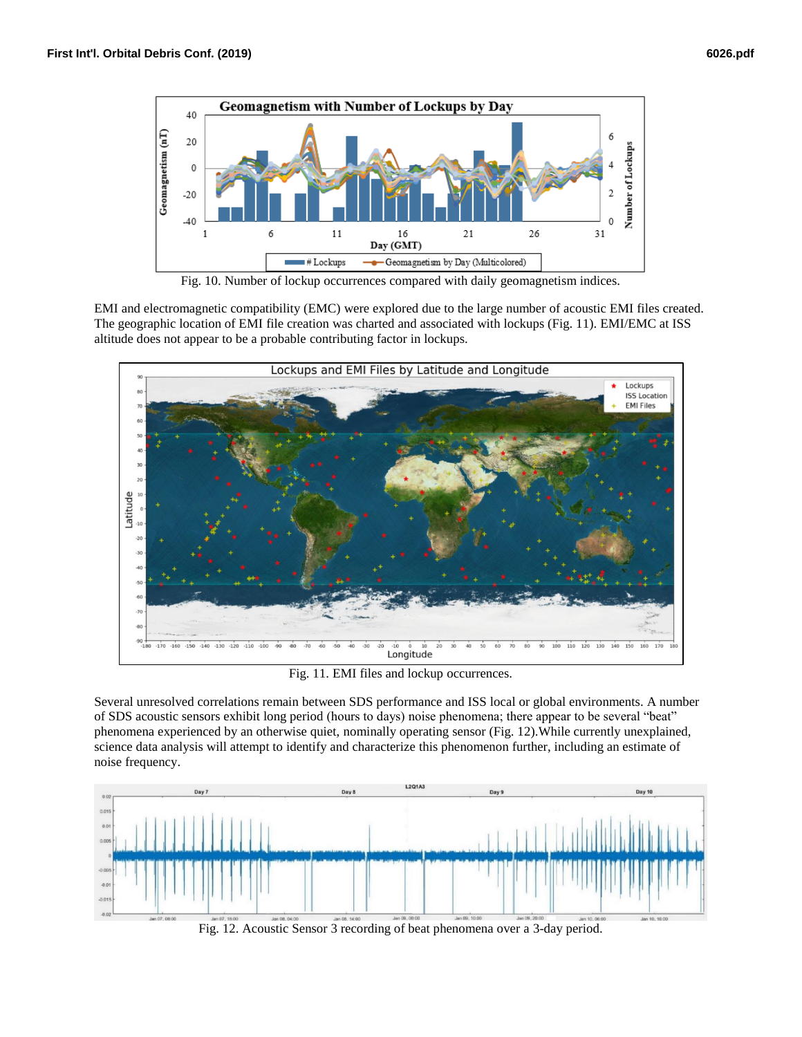

Fig. 10. Number of lockup occurrences compared with daily geomagnetism indices.

EMI and electromagnetic compatibility (EMC) were explored due to the large number of acoustic EMI files created. The geographic location of EMI file creation was charted and associated with lockups (Fig. 11). EMI/EMC at ISS altitude does not appear to be a probable contributing factor in lockups.



Fig. 11. EMI files and lockup occurrences.

Several unresolved correlations remain between SDS performance and ISS local or global environments. A number of SDS acoustic sensors exhibit long period (hours to days) noise phenomena; there appear to be several "beat" phenomena experienced by an otherwise quiet, nominally operating sensor (Fig. 12).While currently unexplained, science data analysis will attempt to identify and characterize this phenomenon further, including an estimate of noise frequency.



Fig. 12. Acoustic Sensor 3 recording of beat phenomena over a 3-day period.